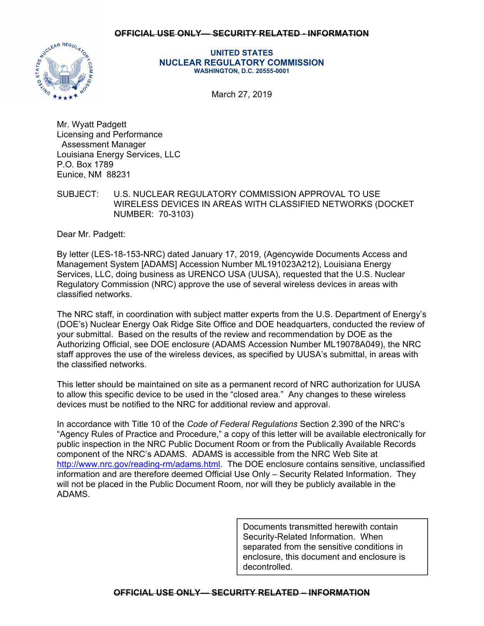## **OFFICIAL USE ONLY— SECURITY RELATED - INFORMATION**



**UNITED STATES NUCLEAR REGULATORY COMMISSION WASHINGTON, D.C. 20555-0001** 

March 27, 2019

Mr. Wyatt Padgett Licensing and Performance Assessment Manager Louisiana Energy Services, LLC P.O. Box 1789 Eunice, NM 88231

SUBJECT: U.S. NUCLEAR REGULATORY COMMISSION APPROVAL TO USE WIRELESS DEVICES IN AREAS WITH CLASSIFIED NETWORKS (DOCKET NUMBER: 70-3103)

Dear Mr. Padgett:

By letter (LES-18-153-NRC) dated January 17, 2019, (Agencywide Documents Access and Management System [ADAMS] Accession Number ML191023A212), Louisiana Energy Services, LLC, doing business as URENCO USA (UUSA), requested that the U.S. Nuclear Regulatory Commission (NRC) approve the use of several wireless devices in areas with classified networks.

The NRC staff, in coordination with subject matter experts from the U.S. Department of Energy's (DOE's) Nuclear Energy Oak Ridge Site Office and DOE headquarters, conducted the review of your submittal. Based on the results of the review and recommendation by DOE as the Authorizing Official, see DOE enclosure (ADAMS Accession Number ML19078A049), the NRC staff approves the use of the wireless devices, as specified by UUSA's submittal, in areas with the classified networks.

This letter should be maintained on site as a permanent record of NRC authorization for UUSA to allow this specific device to be used in the "closed area." Any changes to these wireless devices must be notified to the NRC for additional review and approval.

In accordance with Title 10 of the *Code of Federal Regulations* Section 2.390 of the NRC's "Agency Rules of Practice and Procedure," a copy of this letter will be available electronically for public inspection in the NRC Public Document Room or from the Publically Available Records component of the NRC's ADAMS. ADAMS is accessible from the NRC Web Site at http://www.nrc.gov/reading-rm/adams.html. The DOE enclosure contains sensitive, unclassified information and are therefore deemed Official Use Only – Security Related Information. They will not be placed in the Public Document Room, nor will they be publicly available in the ADAMS.

> Documents transmitted herewith contain Security-Related Information. When separated from the sensitive conditions in enclosure, this document and enclosure is decontrolled.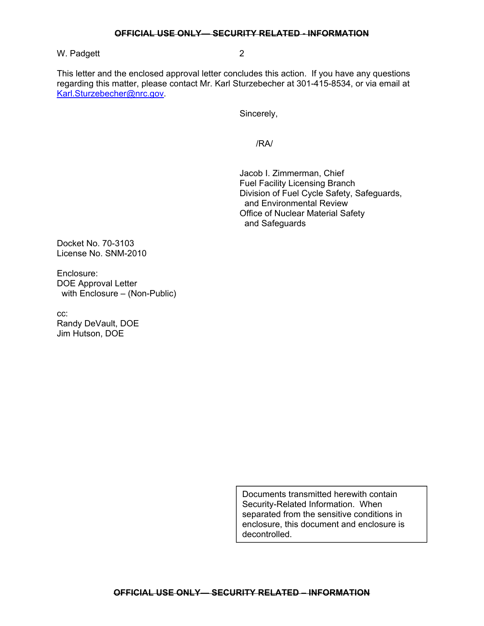W. Padgett 2

This letter and the enclosed approval letter concludes this action. If you have any questions regarding this matter, please contact Mr. Karl Sturzebecher at 301-415-8534, or via email at Karl.Sturzebecher@nrc.gov.

Sincerely,

/RA/

 Jacob I. Zimmerman, Chief Fuel Facility Licensing Branch Division of Fuel Cycle Safety, Safeguards, and Environmental Review Office of Nuclear Material Safety and Safeguards

Docket No. 70-3103 License No. SNM-2010

Enclosure: DOE Approval Letter with Enclosure – (Non-Public)

cc: Randy DeVault, DOE Jim Hutson, DOE

> Documents transmitted herewith contain Security-Related Information. When separated from the sensitive conditions in enclosure, this document and enclosure is decontrolled.